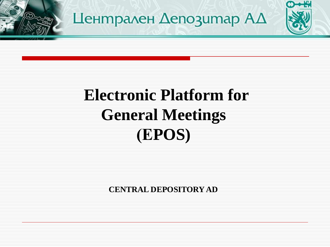

# Централен **Депозитар АД**

# **Electronic Platform for General Meetings (ЕPOS)**

**CENTRAL DEPOSITORY AD**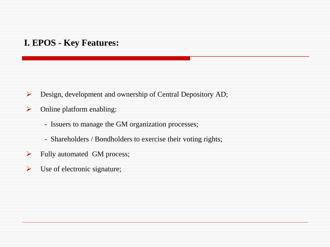#### **I. EPOS - Key Features:**

- Design, development and ownership of Central Depository AD;
- $\triangleright$  Online platform enabling:
	- Issuers to manage the GM organization processes;
	- Shareholders / Bondholders to exercise their voting rights;
- $\blacktriangleright$  Fully automated GM process;
- $\triangleright$  Use of electronic signature;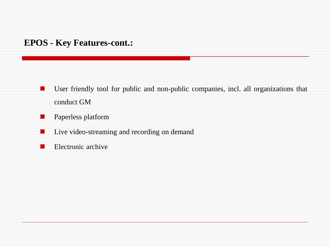#### **EPOS - Key Features-cont.:**

- **User friendly tool for public and non-public companies, incl. all organizations that** conduct GM
- **Paperless platform**
- **Live video-streaming and recording on demand**
- **Electronic archive**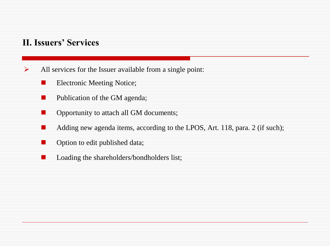#### **II. Issuers' Services**

- $\triangleright$  All services for the Issuer available from a single point:
	- **Electronic Meeting Notice;**
	- $\blacksquare$  Publication of the GM agenda;
	- Opportunity to attach all GM documents;
	- Adding new agenda items, according to the LPOS, Art. 118, para. 2 (if such);
	- Option to edit published data;
	- **Let** Loading the shareholders/bondholders list;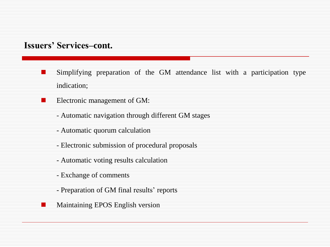#### **Issuers' Services–cont.**

- **Simplifying preparation of the GM attendance list with a participation type** indication;
- **Electronic management of GM:** 
	- Automatic navigation through different GM stages
	- Automatic quorum calculation
	- Electronic submission of procedural proposals
	- Automatic voting results calculation
	- Exchange of comments
	- Preparation of GM final results' reports
	- Maintaining EPOS English version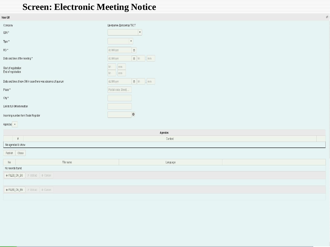# **Screen: Electronic Meeting Notice**

| New GM                                                      |                                            |
|-------------------------------------------------------------|--------------------------------------------|
| Company                                                     | Централен Депозитар ТЕСТ                   |
| $\textsf{ISIN} \star$                                       | $\blacktriangledown$                       |
| Type $^{\star}$                                             | $\star$                                    |
| $RD^*$                                                      | $\boxplus$<br>dd.MM.yyyy                   |
| Date and time of the meeting *                              | $\Box$ hh<br>$: \mathsf{mm}$<br>dd.MM.yyyy |
| Start of registration<br>End of registration                | hh : mm<br>hh<br>$: \mathsf{mm}$           |
| Date and time of new GM in case there was absence of quorum | dd.MM.yyyy<br>$\bullet$ hh : mm            |
| Place *                                                     | Postal code, Street,                       |
| $\text{City}~^{\star}$                                      |                                            |
| Link to full GM information                                 |                                            |
| Incoming number from Trade Register                         | $\pmb{0}$                                  |
| Agendas +                                                   |                                            |
|                                                             | Agendas                                    |
| $\#$                                                        | Content                                    |
| No agendas to show                                          |                                            |
| Publish<br>Close                                            |                                            |
| $\mathbb{N} \mathbb{0}$<br>File name                        | Language                                   |
| No records found.                                           |                                            |
| FILES_ON_BG   # Upload   @ Cancel                           |                                            |
|                                                             |                                            |
| $+$ FILES_ON_EN<br>J Upload   @ Cancel                      |                                            |
|                                                             |                                            |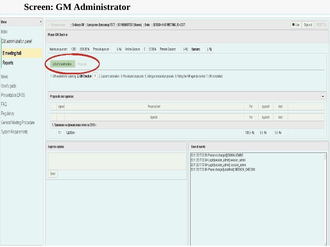## **Screen: GM Administrator**

| $\overline{\mathfrak{t}}$<br>Menu | @ Ordinary GM    Централен Депозитар ТЕСТ    BG110000TEST (Shares)    Date:    SESSID=1447 MEETING_ID=2227<br>v Choose sesion                                                 |                                                                                                                                                                                                                                |          |          | $N$ Live | Sign out | RESET (!) |
|-----------------------------------|-------------------------------------------------------------------------------------------------------------------------------------------------------------------------------|--------------------------------------------------------------------------------------------------------------------------------------------------------------------------------------------------------------------------------|----------|----------|----------|----------|-----------|
| Index<br>GM administration panel  | Phase: GM Check in<br>Maximum quorum: 1200 (100.00)% Physical quorum:<br>(-%) Online Quorum: 0 (0.00)% Prevote Quorum:<br>$(-%)$ Quorum:                                      | $(-\%)$                                                                                                                                                                                                                        |          |          |          |          |           |
| E meeting hall                    |                                                                                                                                                                               |                                                                                                                                                                                                                                |          |          |          |          |           |
| Reports                           | List of shareholders<br>Proposal.                                                                                                                                             |                                                                                                                                                                                                                                |          |          |          |          |           |
| News                              | 1. OM available for opening 2. GM Check in   >   3. Quorum calculation 4. Procedural proposals 5. Voting procedural proposals 6. Voting the GM agenda started 7. GM completed |                                                                                                                                                                                                                                |          |          |          |          |           |
| User's guide<br>Presentation EPOS |                                                                                                                                                                               |                                                                                                                                                                                                                                |          |          |          |          |           |
| FAQ                               | Proposals and agendas                                                                                                                                                         |                                                                                                                                                                                                                                |          |          |          |          | $\Box$    |
| Regulatory                        | Agend<br>Proposal text                                                                                                                                                        | $\mathsf{For}$                                                                                                                                                                                                                 | Against  | Abst     |          |          |           |
| General Meeting Procedure         | Agenda                                                                                                                                                                        | $\mathsf{For}$                                                                                                                                                                                                                 | Against  | Abst     |          |          |           |
| System Requirements               | 1. Приемане на финансовия отчет за 2016 г.<br>1.1 Одобрен                                                                                                                     | $100(-%)$                                                                                                                                                                                                                      | $0(-% )$ | $0(-% )$ |          |          |           |
|                                   |                                                                                                                                                                               |                                                                                                                                                                                                                                |          |          |          |          |           |
|                                   | Flow of events<br><b>Express opinion</b>                                                                                                                                      |                                                                                                                                                                                                                                |          |          |          |          |           |
|                                   | Send                                                                                                                                                                          | 28.11.2017 03:35>Presence changed[]:SIGNIN ADMIN5<br>28.11.2017 03:34>Login[session_admin]:session_admin<br>28.11.2017 03:34>Login[session_admin]: session_admin<br>28.11.2017 03:36>Phase changed[undefined]: SESSION_CHECKIN |          |          |          |          |           |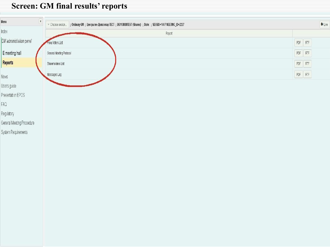#### **Screen: GM final results' reports**

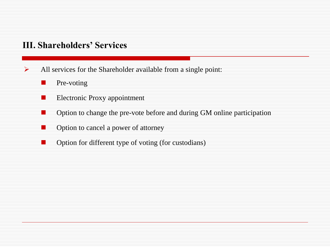#### **III. Shareholders' Services**

- $\triangleright$  All services for the Shareholder available from a single point:
	- **Pre-voting**
	- **Electronic Proxy appointment**
	- Option to change the pre-vote before and during GM online participation
	- **Option to cancel a power of attorney**
	- Option for different type of voting (for custodians)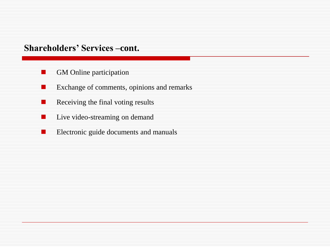#### **Shareholders' Services –cont.**

- **GM** Online participation
- **EXChange of comments, opinions and remarks**
- $\blacksquare$  Receiving the final voting results
- **Live video-streaming on demand**
- Electronic guide documents and manuals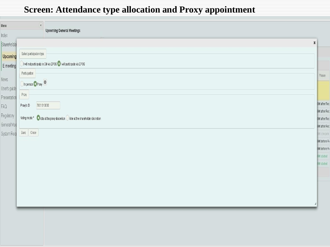# **Screen: Attendance type allocation and Proxy appointment**

|                                                                               | $\pmb{\times}$                                                                                                                                                             |
|-------------------------------------------------------------------------------|----------------------------------------------------------------------------------------------------------------------------------------------------------------------------|
| Select participation type                                                     |                                                                                                                                                                            |
| I will not participate in GM via EPOS OI will participate via EPOS            |                                                                                                                                                                            |
| Participation                                                                 | Phase                                                                                                                                                                      |
|                                                                               |                                                                                                                                                                            |
|                                                                               |                                                                                                                                                                            |
|                                                                               | GM afrer Re                                                                                                                                                                |
|                                                                               | GM afrer Re                                                                                                                                                                |
| Voting mode * Vote at the proxy discretion Vote at the shareholder discretion | GM afrer Re                                                                                                                                                                |
|                                                                               | GM afrer Re                                                                                                                                                                |
|                                                                               | GM compete                                                                                                                                                                 |
|                                                                               | GM before R<br>GM before R                                                                                                                                                 |
|                                                                               | GM started                                                                                                                                                                 |
|                                                                               | GM started                                                                                                                                                                 |
|                                                                               |                                                                                                                                                                            |
|                                                                               |                                                                                                                                                                            |
|                                                                               |                                                                                                                                                                            |
|                                                                               |                                                                                                                                                                            |
|                                                                               |                                                                                                                                                                            |
|                                                                               | $\overline{\mathcal{A}}$<br><b>Upcoming General Meetings</b><br>$\bigcap$ In person $\bigcirc$ Proxy $\bigcirc$<br>${\sf Proxy}$<br>7801010000<br>Proxy's ID<br>Save Close |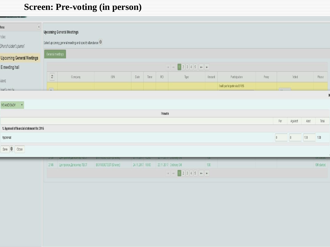# **Screen: Pre-voting (in person)**

| $\overline{A}$<br>un                        |                         |                                                                     |   |      |      |         |      |        |                             |       |                |              |         |         |
|---------------------------------------------|-------------------------|---------------------------------------------------------------------|---|------|------|---------|------|--------|-----------------------------|-------|----------------|--------------|---------|---------|
| xeb                                         |                         | <b>Upcoming General Meetings</b>                                    |   |      |      |         |      |        |                             |       |                |              |         |         |
| hareholder's panel                          |                         | Select upcoming general meeting and specify attendance $  \bm{0}  $ |   |      |      |         |      |        |                             |       |                |              |         |         |
| Jpcoming General Meetings                   | General meetings        |                                                                     |   |      |      |         |      |        |                             |       |                |              |         |         |
| E meeting hall                              |                         |                                                                     |   |      |      |         |      |        |                             |       |                |              |         |         |
| <b>SWG</b>                                  | $\overline{c}$          | Company                                                             | S | Date | Time | RD      | Type | Amount | Participation               | Proxy |                | Voted        |         | Phase   |
| car <sup>i</sup> c quida                    | $\overline{\mathbf{R}}$ |                                                                     |   |      |      |         |      |        | I will participate via EPOS |       | $\sqrt{2}$     |              |         |         |
|                                             |                         |                                                                     |   |      |      |         |      |        |                             |       |                |              |         | X       |
| VO ANDONOV<br>$\mathbf{v}$                  |                         |                                                                     |   |      |      |         |      |        |                             |       |                |              |         |         |
|                                             |                         |                                                                     |   |      |      | Prevote |      |        |                             |       |                |              |         |         |
|                                             |                         |                                                                     |   |      |      |         |      |        |                             |       | $\mathsf{For}$ | Against      | Abst    | Total   |
| 1. Approval of financial statement for 2016 |                         |                                                                     |   |      |      |         |      |        |                             |       |                |              |         |         |
| Approvad                                    |                         |                                                                     |   |      |      |         |      |        |                             |       | $\mathbf{0}$   | $\mathbb{0}$ | $100\,$ | $100\,$ |
| Save <b>O</b> Close                         |                         |                                                                     |   |      |      |         |      |        |                             |       |                |              |         |         |

| 2146 | Централен Депозитар ТЕСТ | BG110000TEST (Shares) | 24.11.2017 10:00 | 23.11.2017 Ordinary GM | 100 | GM started |
|------|--------------------------|-----------------------|------------------|------------------------|-----|------------|
|      |                          |                       |                  |                        |     |            |
|      |                          |                       |                  |                        |     |            |
|      |                          |                       |                  |                        |     |            |
|      |                          |                       |                  |                        |     |            |
|      |                          |                       |                  |                        |     |            |
|      |                          |                       |                  |                        |     |            |
|      |                          |                       |                  |                        |     |            |
|      |                          |                       |                  |                        |     |            |
|      |                          |                       |                  |                        |     |            |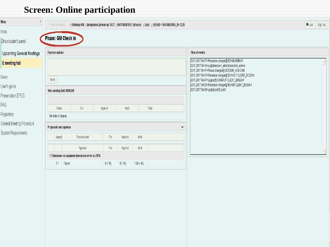# **Screen: Online participation**

| <b>Upcoming General Meetings</b>                    | <b>Express opinion</b>                         |                                   |          |           |                                                                                                                                                                                                                                                                                                                                                                              | Flow of events |  |
|-----------------------------------------------------|------------------------------------------------|-----------------------------------|----------|-----------|------------------------------------------------------------------------------------------------------------------------------------------------------------------------------------------------------------------------------------------------------------------------------------------------------------------------------------------------------------------------------|----------------|--|
| E meeting hall<br>User's guide<br>Presentation EPOS | Send<br>Vote sending field 00:00:00            |                                   |          |           | 28.11.2017 04:47>Presence changed[:SIGNIN ADMIN5<br>28.11.2017 04:46>Login[session_admin]:session_admin<br>28.11.2017 04:47>Phase changed[:SESSION_CHECKIN<br>28.11.2017 04:47>Presence changed[:SIGNOUT CLIENT_BOSS=5<br>28.11.2017 04:47>Logout[5]:SIGNOUT CLIENT_BOSS=5<br>28.11.2017 04:50>Presence changed[:SIGNIN CLIENT_BOSS=1<br>28.11.2017 04:49>Login[user1]:user1 |                |  |
|                                                     | $\mathsf{For}$<br>Client                       | Against                           | Abst     |           | Total                                                                                                                                                                                                                                                                                                                                                                        |                |  |
|                                                     | No data to display                             |                                   |          |           | $\blacksquare$                                                                                                                                                                                                                                                                                                                                                               |                |  |
| General Meeting Procedure                           | Proposals and agendas                          |                                   |          |           |                                                                                                                                                                                                                                                                                                                                                                              |                |  |
| System Requirements                                 | Agend<br>Proposal text                         | Abst<br>$\mathsf{For}$<br>Against |          |           |                                                                                                                                                                                                                                                                                                                                                                              |                |  |
|                                                     | Agenda                                         | For                               | Against  | Abst      |                                                                                                                                                                                                                                                                                                                                                                              |                |  |
|                                                     | 1. Приемане на годишния финансов отчет за 2016 |                                   |          |           |                                                                                                                                                                                                                                                                                                                                                                              |                |  |
|                                                     | 1.1 Приет                                      | $0(-% )$                          | $0(-% )$ | $100(-%)$ |                                                                                                                                                                                                                                                                                                                                                                              |                |  |
|                                                     |                                                |                                   |          |           |                                                                                                                                                                                                                                                                                                                                                                              |                |  |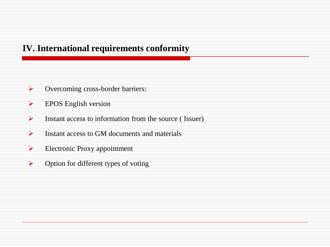#### **IV. International requirements conformity**

- **►** Overcoming cross-border barriers:
- EPOS English version
- $\triangleright$  Instant access to information from the source (Issuer)
- $\triangleright$  Instant access to GM documents and materials
- $\triangleright$  Electronic Proxy appointment
- $\triangleright$  Option for different types of voting